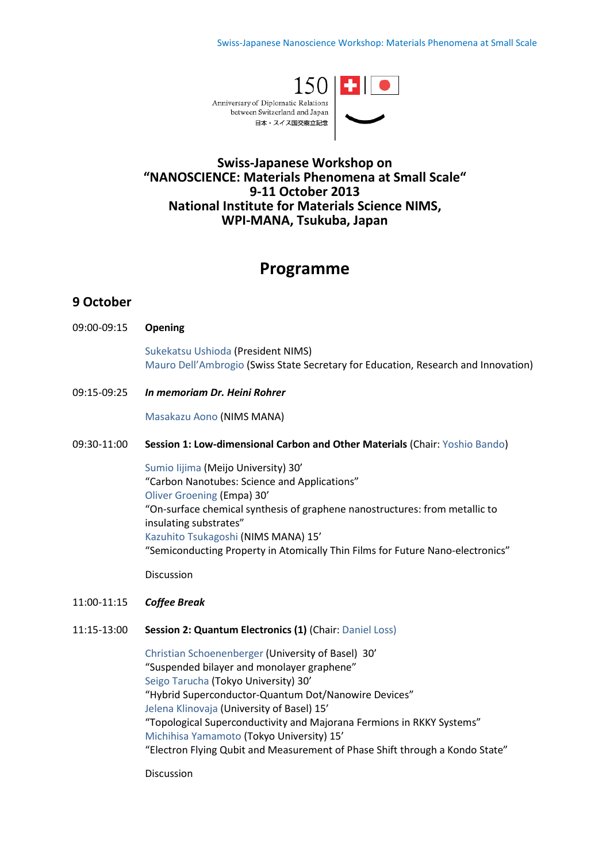

# **Swiss-Japanese Workshop on "NANOSCIENCE: Materials Phenomena at Small Scale" 9-11 October 2013 National Institute for Materials Science NIMS, WPI-MANA, Tsukuba, Japan**

# **Programme**

# **9 October**

09:00-09:15 **Opening**

 Sukekatsu Ushioda (President NIMS) Mauro Dell'Ambrogio (Swiss State Secretary for Education, Research and Innovation)

09:15-09:25 *In memoriam Dr. Heini Rohrer*

Masakazu Aono (NIMS MANA)

#### 09:30-11:00 **Session 1: Low-dimensional Carbon and Other Materials** (Chair: Yoshio Bando)

 Sumio Iijima (Meijo University) 30' "Carbon Nanotubes: Science and Applications" Oliver Groening (Empa) 30' "On-surface chemical synthesis of graphene nanostructures: from metallic to insulating substrates" Kazuhito Tsukagoshi (NIMS MANA) 15' "Semiconducting Property in Atomically Thin Films for Future Nano-electronics"

Discussion

### 11:00-11:15 *Coffee Break*

### 11:15-13:00 **Session 2: Quantum Electronics (1)** (Chair: Daniel Loss)

Christian Schoenenberger (University of Basel) 30' "Suspended bilayer and monolayer graphene" Seigo Tarucha (Tokyo University) 30' "Hybrid Superconductor-Quantum Dot/Nanowire Devices" Jelena Klinovaja (University of Basel) 15' "Topological Superconductivity and Majorana Fermions in RKKY Systems" Michihisa Yamamoto (Tokyo University) 15' "Electron Flying Qubit and Measurement of Phase Shift through a Kondo State"

Discussion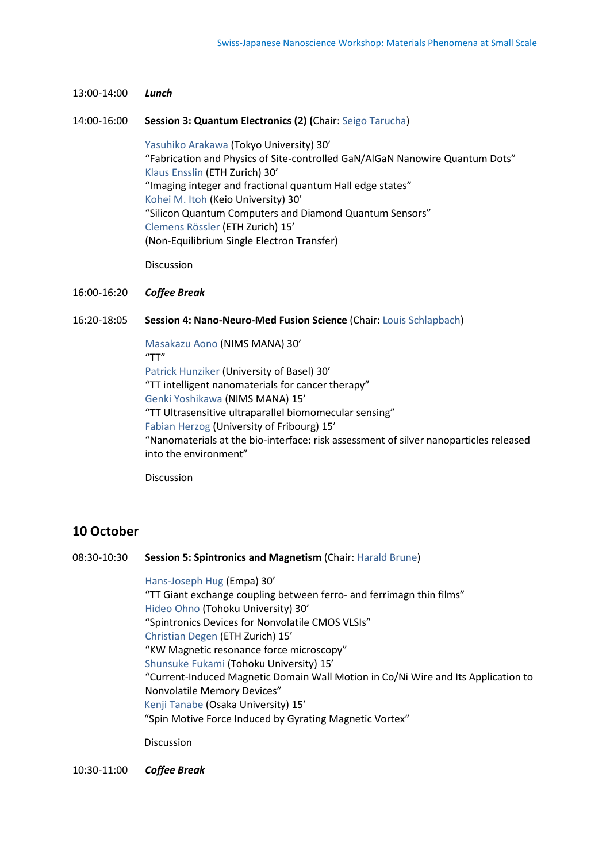13:00-14:00 *Lunch* 

#### 14:00-16:00 **Session 3: Quantum Electronics (2) (**Chair: Seigo Tarucha)

Yasuhiko Arakawa (Tokyo University) 30' "Fabrication and Physics of Site-controlled GaN/AlGaN Nanowire Quantum Dots" Klaus Ensslin (ETH Zurich) 30' "Imaging integer and fractional quantum Hall edge states" Kohei M. Itoh (Keio University) 30' "Silicon Quantum Computers and Diamond Quantum Sensors" Clemens Rössler (ETH Zurich) 15' (Non-Equilibrium Single Electron Transfer)

Discussion

#### 16:00-16:20 *Coffee Break*

16:20-18:05 **Session 4: Nano-Neuro-Med Fusion Science** (Chair: Louis Schlapbach)

Masakazu Aono (NIMS MANA) 30' "TT" Patrick Hunziker (University of Basel) 30' "TT intelligent nanomaterials for cancer therapy" Genki Yoshikawa (NIMS MANA) 15' "TT Ultrasensitive ultraparallel biomomecular sensing" Fabian Herzog (University of Fribourg) 15' "Nanomaterials at the bio-interface: risk assessment of silver nanoparticles released into the environment"

Discussion

### **10 October**

08:30-10:30 **Session 5: Spintronics and Magnetism** (Chair: Harald Brune)

Hans-Joseph Hug (Empa) 30' "TT Giant exchange coupling between ferro- and ferrimagn thin films" Hideo Ohno (Tohoku University) 30' "Spintronics Devices for Nonvolatile CMOS VLSIs" Christian Degen (ETH Zurich) 15' "KW Magnetic resonance force microscopy" Shunsuke Fukami (Tohoku University) 15' "Current-Induced Magnetic Domain Wall Motion in Co/Ni Wire and Its Application to Nonvolatile Memory Devices" Kenji Tanabe (Osaka University) 15' "Spin Motive Force Induced by Gyrating Magnetic Vortex"

Discussion

10:30-11:00 *Coffee Break*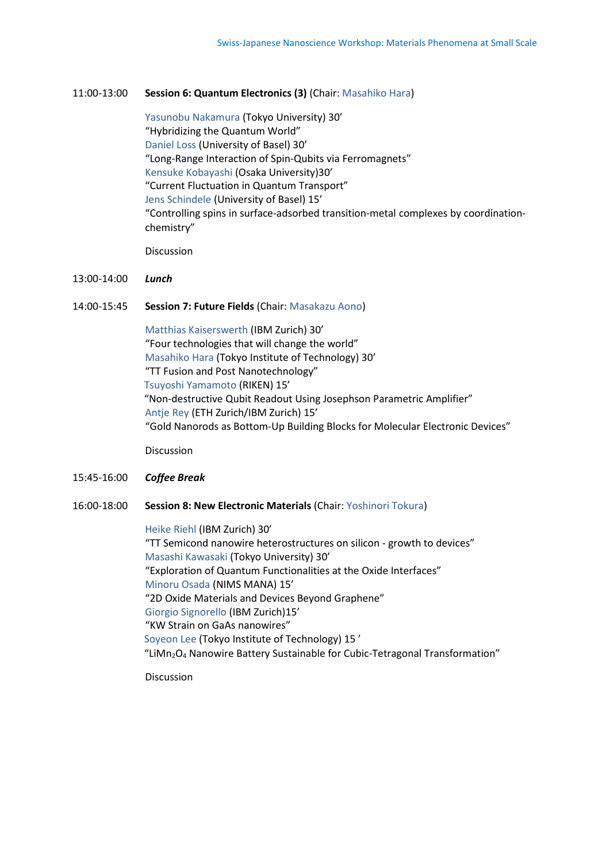#### 11:00-13:00 **Session 6: Quantum Electronics (3)** (Chair: Masahiko Hara)

Yasunobu Nakamura (Tokyo University) 30' "Hybridizing the Quantum World" Daniel Loss (University of Basel) 30' "Long-Range Interaction of Spin-Qubits via Ferromagnets" Kensuke Kobayashi (Osaka University)30' "Current Fluctuation in Quantum Transport" Jens Schindele (University of Basel) 15' "Controlling spins in surface-adsorbed transition-metal complexes by coordination chemistry"

Discussion

#### 13:00-14:00 *Lunch*

#### 14:00-15:45 **Session 7: Future Fields** (Chair: Masakazu Aono)

Matthias Kaiserswerth (IBM Zurich) 30' "Four technologies that will change the world" Masahiko Hara (Tokyo Institute of Technology) 30' "TT Fusion and Post Nanotechnology" Tsuyoshi Yamamoto (RIKEN) 15' "Non-destructive Qubit Readout Using Josephson Parametric Amplifier" Antje Rey (ETH Zurich/IBM Zurich) 15' "Gold Nanorods as Bottom-Up Building Blocks for Molecular Electronic Devices"

Discussion

### 15:45-16:00 *Coffee Break*

#### 16:00-18:00 **Session 8: New Electronic Materials** (Chair: Yoshinori Tokura)

Heike Riehl (IBM Zurich) 30' "TT Semicond nanowire heterostructures on silicon - growth to devices" Masashi Kawasaki (Tokyo University) 30' "Exploration of Quantum Functionalities at the Oxide Interfaces" Minoru Osada (NIMS MANA) 15' "2D Oxide Materials and Devices Beyond Graphene" Giorgio Signorello (IBM Zurich)15' "KW Strain on GaAs nanowires" Soyeon Lee (Tokyo Institute of Technology) 15 ' "LiMn<sub>2</sub>O<sub>4</sub> Nanowire Battery Sustainable for Cubic-Tetragonal Transformation"

Discussion